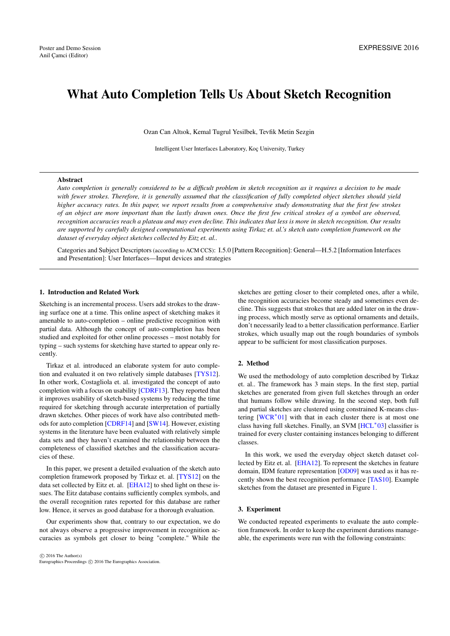# <span id="page-0-0"></span>What Auto Completion Tells Us About Sketch Recognition

Ozan Can Altıok, Kemal Tugrul Yesilbek, Tevfik Metin Sezgin

Intelligent User Interfaces Laboratory, Koç University, Turkey

## Abstract

*Auto completion is generally considered to be a difficult problem in sketch recognition as it requires a decision to be made with fewer strokes. Therefore, it is generally assumed that the classification of fully completed object sketches should yield higher accuracy rates. In this paper, we report results from a comprehensive study demonstrating that the first few strokes of an object are more important than the lastly drawn ones. Once the first few critical strokes of a symbol are observed, recognition accuracies reach a plateau and may even decline. This indicates that less is more in sketch recognition. Our results are supported by carefully designed computational experiments using Tirkaz et. al.'s sketch auto completion framework on the dataset of everyday object sketches collected by Eitz et. al..*

Categories and Subject Descriptors (according to ACM CCS): I.5.0 [Pattern Recognition]: General—H.5.2 [Information Interfaces and Presentation]: User Interfaces—Input devices and strategies

# 1. Introduction and Related Work

Sketching is an incremental process. Users add strokes to the drawing surface one at a time. This online aspect of sketching makes it amenable to auto-completion – online predictive recognition with partial data. Although the concept of auto-completion has been studied and exploited for other online processes – most notably for typing – such systems for sketching have started to appear only recently.

Tirkaz et al. introduced an elaborate system for auto completion and evaluated it on two relatively simple databases [\[TYS12\]](#page-1-0). In other work, Costagliola et. al. investigated the concept of auto completion with a focus on usability [\[CDRF13\]](#page-1-1). They reported that it improves usability of sketch-based systems by reducing the time required for sketching through accurate interpretation of partially drawn sketches. Other pieces of work have also contributed methods for auto completion [\[CDRF14\]](#page-1-2) and [\[SW14\]](#page-1-3). However, existing systems in the literature have been evaluated with relatively simple data sets and they haven't examined the relationship between the completeness of classified sketches and the classification accuracies of these.

In this paper, we present a detailed evaluation of the sketch auto completion framework proposed by Tirkaz et. al. [\[TYS12\]](#page-1-0) on the data set collected by Eitz et. al. [\[EHA12\]](#page-1-4) to shed light on these issues. The Eitz database contains sufficiently complex symbols, and the overall recognition rates reported for this database are rather low. Hence, it serves as good database for a thorough evaluation.

Our experiments show that, contrary to our expectation, we do not always observe a progressive improvement in recognition accuracies as symbols get closer to being "complete." While the

 $\circ$  2016 The Author(s) Eurographics Proceedings (C) 2016 The Eurographics Association

sketches are getting closer to their completed ones, after a while, the recognition accuracies become steady and sometimes even decline. This suggests that strokes that are added later on in the drawing process, which mostly serve as optional ornaments and details, don't necessarily lead to a better classification performance. Earlier strokes, which usually map out the rough boundaries of symbols appear to be sufficient for most classification purposes.

# 2. Method

We used the methodology of auto completion described by Tirkaz et. al.. The framework has 3 main steps. In the first step, partial sketches are generated from given full sketches through an order that humans follow while drawing. In the second step, both full and partial sketches are clustered using constrained K-means clus-tering [\[WCR](#page-1-5)<sup>\*</sup>01] with that in each cluster there is at most one class having full sketches. Finally, an SVM [\[HCL](#page-1-6)<sup>\*03</sup>] classifier is trained for every cluster containing instances belonging to different classes.

In this work, we used the everyday object sketch dataset collected by Eitz et. al. [\[EHA12\]](#page-1-4). To represent the sketches in feature domain, IDM feature representation [\[OD09\]](#page-1-7) was used as it has recently shown the best recognition performance [\[TAS10\]](#page-1-8). Example sketches from the dataset are presented in Figure [1.](#page-1-9)

#### 3. Experiment

We conducted repeated experiments to evaluate the auto completion framework. In order to keep the experiment durations manageable, the experiments were run with the following constraints: